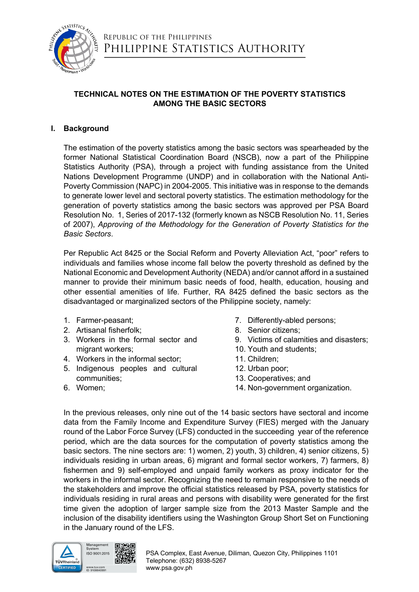

# Republic of the Philippines PHILIPPINE STATISTICS AUTHORITY

# **TECHNICAL NOTES ON THE ESTIMATION OF THE POVERTY STATISTICS AMONG THE BASIC SECTORS**

## **I. Background**

The estimation of the poverty statistics among the basic sectors was spearheaded by the former National Statistical Coordination Board (NSCB), now a part of the Philippine Statistics Authority (PSA), through a project with funding assistance from the United Nations Development Programme (UNDP) and in collaboration with the National Anti-Poverty Commission (NAPC) in 2004-2005. This initiative was in response to the demands to generate lower level and sectoral poverty statistics. The estimation methodology for the generation of poverty statistics among the basic sectors was approved per PSA Board Resolution No. 1, Series of 2017-132 (formerly known as NSCB Resolution No. 11, Series of 2007), *Approving of the Methodology for the Generation of Poverty Statistics for the Basic Sectors*.

Per Republic Act 8425 or the Social Reform and Poverty Alleviation Act, "poor" refers to individuals and families whose income fall below the poverty threshold as defined by the National Economic and Development Authority (NEDA) and/or cannot afford in a sustained manner to provide their minimum basic needs of food, health, education, housing and other essential amenities of life. Further, RA 8425 defined the basic sectors as the disadvantaged or marginalized sectors of the Philippine society, namely:

- 1. Farmer-peasant;
- 2. Artisanal fisherfolk;
- 3. Workers in the formal sector and migrant workers;
- 4. Workers in the informal sector;
- 5. Indigenous peoples and cultural communities;
- 6. Women;
- 7. Differently-abled persons;
- 8. Senior citizens;
- 9. Victims of calamities and disasters;
- 10. Youth and students;
- 11. Children;
- 12. Urban poor;
- 13. Cooperatives; and
- 14. Non-government organization.

In the previous releases, only nine out of the 14 basic sectors have sectoral and income data from the Family Income and Expenditure Survey (FIES) merged with the January round of the Labor Force Survey (LFS) conducted in the succeeding year of the reference period, which are the data sources for the computation of poverty statistics among the basic sectors. The nine sectors are: 1) women, 2) youth, 3) children, 4) senior citizens, 5) individuals residing in urban areas, 6) migrant and formal sector workers, 7) farmers, 8) fishermen and 9) self-employed and unpaid family workers as proxy indicator for the workers in the informal sector. Recognizing the need to remain responsive to the needs of the stakeholders and improve the official statistics released by PSA, poverty statistics for individuals residing in rural areas and persons with disability were generated for the first time given the adoption of larger sample size from the 2013 Master Sample and the inclusion of the disability identifiers using the Washington Group Short Set on Functioning in the January round of the LFS.

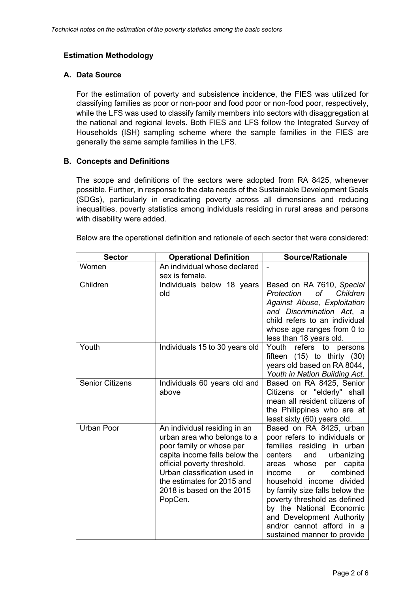### **Estimation Methodology**

### **A. Data Source**

For the estimation of poverty and subsistence incidence, the FIES was utilized for classifying families as poor or non-poor and food poor or non-food poor, respectively, while the LFS was used to classify family members into sectors with disaggregation at the national and regional levels. Both FIES and LFS follow the Integrated Survey of Households (ISH) sampling scheme where the sample families in the FIES are generally the same sample families in the LFS.

### **B. Concepts and Definitions**

The scope and definitions of the sectors were adopted from RA 8425, whenever possible. Further, in response to the data needs of the Sustainable Development Goals (SDGs), particularly in eradicating poverty across all dimensions and reducing inequalities, poverty statistics among individuals residing in rural areas and persons with disability were added.

| Below are the operational definition and rationale of each sector that were considered: |  |
|-----------------------------------------------------------------------------------------|--|
|-----------------------------------------------------------------------------------------|--|

| <b>Sector</b>          | <b>Operational Definition</b>                           | <b>Source/Rationale</b>                                        |
|------------------------|---------------------------------------------------------|----------------------------------------------------------------|
| Women                  | An individual whose declared                            |                                                                |
|                        | sex is female.                                          |                                                                |
| Children               | Individuals below 18 years                              | Based on RA 7610, Special                                      |
|                        | old                                                     | Protection<br>оf<br>Children                                   |
|                        |                                                         | <b>Against Abuse, Exploitation</b>                             |
|                        |                                                         | and Discrimination Act, a                                      |
|                        |                                                         | child refers to an individual                                  |
|                        |                                                         | whose age ranges from 0 to                                     |
| Youth                  |                                                         | less than 18 years old.                                        |
|                        | Individuals 15 to 30 years old                          | Youth<br>refers to persons                                     |
|                        |                                                         | fifteen $(15)$ to thirty $(30)$<br>years old based on RA 8044, |
|                        |                                                         | Youth in Nation Building Act.                                  |
| <b>Senior Citizens</b> | Individuals 60 years old and                            | Based on RA 8425, Senior                                       |
|                        | above                                                   | Citizens or "elderly" shall                                    |
|                        |                                                         | mean all resident citizens of                                  |
|                        |                                                         | the Philippines who are at                                     |
|                        |                                                         | least sixty (60) years old.                                    |
| <b>Urban Poor</b>      | An individual residing in an                            | Based on RA 8425, urban                                        |
|                        | urban area who belongs to a                             | poor refers to individuals or                                  |
|                        | poor family or whose per                                | families residing in urban                                     |
|                        | capita income falls below the                           | centers<br>and<br>urbanizing                                   |
|                        | official poverty threshold.                             | whose<br>capita<br>areas<br>per                                |
|                        | Urban classification used in                            | combined<br>income<br><b>or</b>                                |
|                        | the estimates for 2015 and<br>2018 is based on the 2015 | household income divided<br>by family size falls below the     |
|                        | PopCen.                                                 | poverty threshold as defined                                   |
|                        |                                                         | by the National Economic                                       |
|                        |                                                         | and Development Authority                                      |
|                        |                                                         | and/or cannot afford in a                                      |
|                        |                                                         | sustained manner to provide                                    |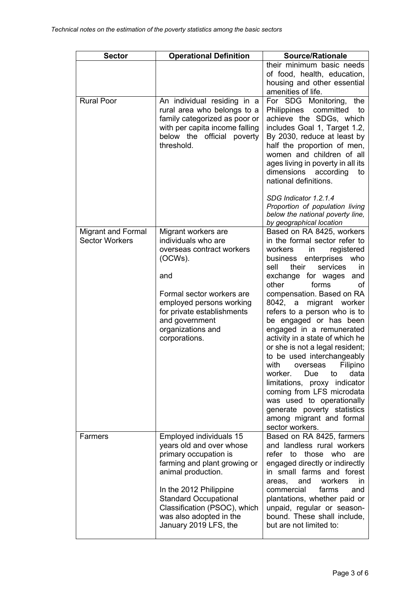| <b>Sector</b>                                      | <b>Operational Definition</b>                                                                                                                                                                                                                                                    | <b>Source/Rationale</b>                                                                                                                                                                                                                                                                                                                                                                                                                                                                                                                                                                                                                                                                                                                  |  |
|----------------------------------------------------|----------------------------------------------------------------------------------------------------------------------------------------------------------------------------------------------------------------------------------------------------------------------------------|------------------------------------------------------------------------------------------------------------------------------------------------------------------------------------------------------------------------------------------------------------------------------------------------------------------------------------------------------------------------------------------------------------------------------------------------------------------------------------------------------------------------------------------------------------------------------------------------------------------------------------------------------------------------------------------------------------------------------------------|--|
|                                                    |                                                                                                                                                                                                                                                                                  | their minimum basic needs<br>of food, health, education,<br>housing and other essential<br>amenities of life.                                                                                                                                                                                                                                                                                                                                                                                                                                                                                                                                                                                                                            |  |
| <b>Rural Poor</b>                                  | An individual residing in a<br>rural area who belongs to a<br>family categorized as poor or<br>with per capita income falling<br>below the official poverty<br>threshold.                                                                                                        | For SDG Monitoring,<br>the<br>Philippines<br>committed<br>to<br>achieve the SDGs, which<br>includes Goal 1, Target 1.2,<br>By 2030, reduce at least by<br>half the proportion of men,<br>women and children of all<br>ages living in poverty in all its<br>dimensions according<br>to<br>national definitions.<br>SDG Indicator 1.2.1.4<br>Proportion of population living<br>below the national poverty line,                                                                                                                                                                                                                                                                                                                           |  |
| <b>Migrant and Formal</b><br><b>Sector Workers</b> | Migrant workers are<br>individuals who are<br>overseas contract workers<br>(OCWs).<br>and<br>Formal sector workers are<br>employed persons working<br>for private establishments<br>and government<br>organizations and<br>corporations.                                         | by geographical location<br>Based on RA 8425, workers<br>in the formal sector refer to<br>workers<br>registered<br>in<br>enterprises<br>business<br>who<br>services<br>sell<br>their<br>in<br>exchange for wages<br>and<br>other<br>forms<br>οf<br>compensation. Based on RA<br>8042,<br>migrant worker<br>a<br>refers to a person who is to<br>be engaged or has been<br>engaged in a remunerated<br>activity in a state of which he<br>or she is not a legal resident;<br>to be used interchangeably<br>with overseas Filipino<br>worker.<br>Due<br>to<br>data<br>limitations, proxy indicator<br>coming from LFS microdata<br>was used to operationally<br>generate poverty statistics<br>among migrant and formal<br>sector workers. |  |
| Farmers                                            | Employed individuals 15<br>years old and over whose<br>primary occupation is<br>farming and plant growing or<br>animal production.<br>In the 2012 Philippine<br><b>Standard Occupational</b><br>Classification (PSOC), which<br>was also adopted in the<br>January 2019 LFS, the | Based on RA 8425, farmers<br>and landless rural workers<br>refer to those who<br>are<br>engaged directly or indirectly<br>in small farms and forest<br>and<br>workers<br>in.<br>areas,<br>commercial<br>farms<br>and<br>plantations, whether paid or<br>unpaid, regular or season-<br>bound. These shall include,<br>but are not limited to:                                                                                                                                                                                                                                                                                                                                                                                             |  |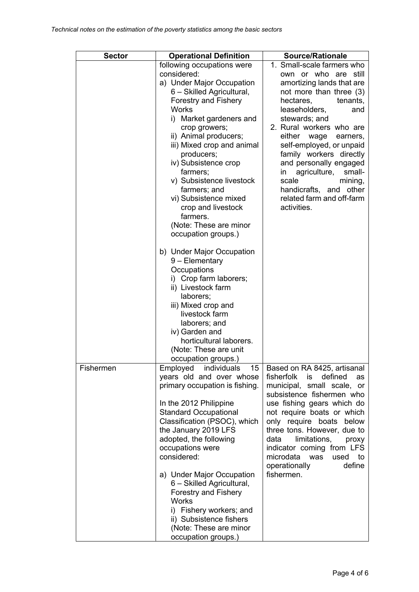| <b>Sector</b> | <b>Operational Definition</b>                          | <b>Source/Rationale</b>                                  |  |
|---------------|--------------------------------------------------------|----------------------------------------------------------|--|
|               | following occupations were                             | 1. Small-scale farmers who                               |  |
|               | considered:                                            | own or who are<br>still                                  |  |
|               | a) Under Major Occupation                              | amortizing lands that are                                |  |
|               | 6 - Skilled Agricultural,                              | not more than three (3)                                  |  |
|               | <b>Forestry and Fishery</b>                            | hectares,<br>tenants,                                    |  |
|               | Works                                                  | leaseholders,<br>and                                     |  |
|               | i) Market gardeners and                                | stewards; and                                            |  |
|               | crop growers;                                          | 2. Rural workers who are                                 |  |
|               | ii) Animal producers;                                  | either<br>wage<br>earners,                               |  |
|               | iii) Mixed crop and animal                             | self-employed, or unpaid                                 |  |
|               | producers;                                             | family workers directly                                  |  |
|               | iv) Subsistence crop                                   | and personally engaged                                   |  |
|               | farmers;                                               | agriculture,<br>in<br>small-                             |  |
|               | v) Subsistence livestock                               | scale<br>mining,                                         |  |
|               | farmers; and                                           | handicrafts, and other                                   |  |
|               | vi) Subsistence mixed                                  | related farm and off-farm                                |  |
|               | crop and livestock                                     | activities.                                              |  |
|               | farmers.                                               |                                                          |  |
|               | (Note: These are minor                                 |                                                          |  |
|               | occupation groups.)                                    |                                                          |  |
|               | b) Under Major Occupation                              |                                                          |  |
|               | 9 - Elementary                                         |                                                          |  |
|               | Occupations                                            |                                                          |  |
|               | i) Crop farm laborers;                                 |                                                          |  |
|               | ii) Livestock farm                                     |                                                          |  |
|               | laborers;                                              |                                                          |  |
|               | iii) Mixed crop and                                    |                                                          |  |
|               | livestock farm                                         |                                                          |  |
|               | laborers; and                                          |                                                          |  |
|               | iv) Garden and                                         |                                                          |  |
|               | horticultural laborers.                                |                                                          |  |
|               | (Note: These are unit                                  |                                                          |  |
|               | occupation groups.)                                    |                                                          |  |
| Fishermen     | Employed<br>individuals<br>15                          | Based on RA 8425, artisanal                              |  |
|               | years old and over whose                               | fisherfolk<br>is<br>defined<br>as                        |  |
|               | primary occupation is fishing.                         | municipal, small scale, or                               |  |
|               |                                                        | subsistence fishermen who                                |  |
|               | In the 2012 Philippine<br><b>Standard Occupational</b> | use fishing gears which do<br>not require boats or which |  |
|               | Classification (PSOC), which                           | only require boats below                                 |  |
|               | the January 2019 LFS                                   | three tons. However, due to                              |  |
|               | adopted, the following                                 | limitations.<br>data<br>proxy                            |  |
|               | occupations were                                       | indicator coming from LFS                                |  |
|               | considered:                                            | microdata was<br>used<br>to                              |  |
|               |                                                        | operationally<br>define                                  |  |
|               | a) Under Major Occupation                              | fishermen.                                               |  |
|               | 6 - Skilled Agricultural,                              |                                                          |  |
|               | <b>Forestry and Fishery</b>                            |                                                          |  |
|               | Works                                                  |                                                          |  |
|               | i) Fishery workers; and                                |                                                          |  |
|               | ii) Subsistence fishers                                |                                                          |  |
|               | (Note: These are minor                                 |                                                          |  |
|               | occupation groups.)                                    |                                                          |  |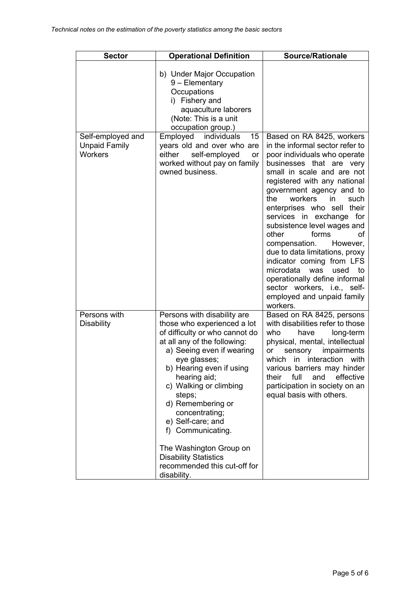| <b>Sector</b>                                               | <b>Source/Rationale</b>                                                                                                                                                                                                                                                                                                                                                                                                                              |                                                                                                                                                                                                                                                                                                                                                                                                                                                                                                                                                                                                               |
|-------------------------------------------------------------|------------------------------------------------------------------------------------------------------------------------------------------------------------------------------------------------------------------------------------------------------------------------------------------------------------------------------------------------------------------------------------------------------------------------------------------------------|---------------------------------------------------------------------------------------------------------------------------------------------------------------------------------------------------------------------------------------------------------------------------------------------------------------------------------------------------------------------------------------------------------------------------------------------------------------------------------------------------------------------------------------------------------------------------------------------------------------|
|                                                             | b) Under Major Occupation<br>9 - Elementary<br>Occupations<br>i) Fishery and<br>aquaculture laborers<br>(Note: This is a unit<br>occupation group.)                                                                                                                                                                                                                                                                                                  |                                                                                                                                                                                                                                                                                                                                                                                                                                                                                                                                                                                                               |
| Self-employed and<br><b>Unpaid Family</b><br><b>Workers</b> | 15<br>Employed<br>individuals<br>years old and over who are<br>either<br>self-employed<br>or<br>worked without pay on family<br>owned business.                                                                                                                                                                                                                                                                                                      | Based on RA 8425, workers<br>in the informal sector refer to<br>poor individuals who operate<br>businesses that are very<br>small in scale and are not<br>registered with any national<br>government agency and to<br>workers<br>the.<br>in.<br>such<br>enterprises who sell their<br>services in exchange for<br>subsistence level wages and<br>forms<br>other<br>οf<br>compensation.<br>However,<br>due to data limitations, proxy<br>indicator coming from LFS<br>microdata<br>was<br>used<br>to<br>operationally define informal<br>sector workers, i.e., self-<br>employed and unpaid family<br>workers. |
| Persons with<br><b>Disability</b>                           | Persons with disability are<br>those who experienced a lot<br>of difficulty or who cannot do<br>at all any of the following:<br>a) Seeing even if wearing<br>eye glasses;<br>b) Hearing even if using<br>hearing aid;<br>c) Walking or climbing<br>steps;<br>d) Remembering or<br>concentrating;<br>e) Self-care; and<br>f) Communicating.<br>The Washington Group on<br><b>Disability Statistics</b><br>recommended this cut-off for<br>disability. | Based on RA 8425, persons<br>with disabilities refer to those<br>who<br>have<br>long-term<br>physical, mental, intellectual<br>impairments<br>or<br>sensory<br>which in interaction<br>with<br>various barriers may hinder<br>full<br>their<br>and<br>effective<br>participation in society on an<br>equal basis with others.                                                                                                                                                                                                                                                                                 |